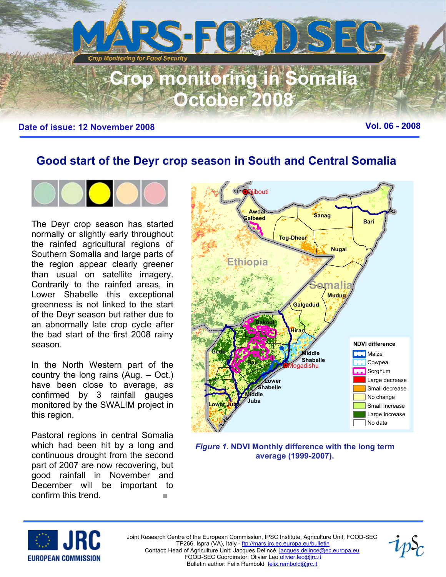

# **Good start of the Deyr crop season in South and Central Somalia**



The Deyr crop season has started normally or slightly early throughout the rainfed agricultural regions of Southern Somalia and large parts of the region appear clearly greener than usual on satellite imagery. Contrarily to the rainfed areas, in Lower Shabelle this exceptional greenness is not linked to the start of the Deyr season but rather due to an abnormally late crop cycle after the bad start of the first 2008 rainy season.

In the North Western part of the country the long rains (Aug. – Oct.) have been close to average, as confirmed by 3 rainfall gauges monitored by the SWALIM project in this region.

Pastoral regions in central Somalia which had been hit by a long and continuous drought from the second part of 2007 are now recovering, but good rainfall in November and December will be important to confirm this trend. ■



*Figure 1.* **NDVI Monthly difference with the long term average (1999-2007).** 



Joint Research Centre of the European Commission, IPSC Institute, Agriculture Unit, FOOD-SEC TP266, Ispra (VA), Italy - ftp://mars.jrc.ec.europa.eu/bulletin Contact: Head of Agriculture Unit: Jacques Delincé, jacques.delince@ec.europa.eu FOOD-SEC Coordinator: Olivier Leo olivier.leo@jrc.it Bulletin author: Felix Rembold felix.rembold@jrc.it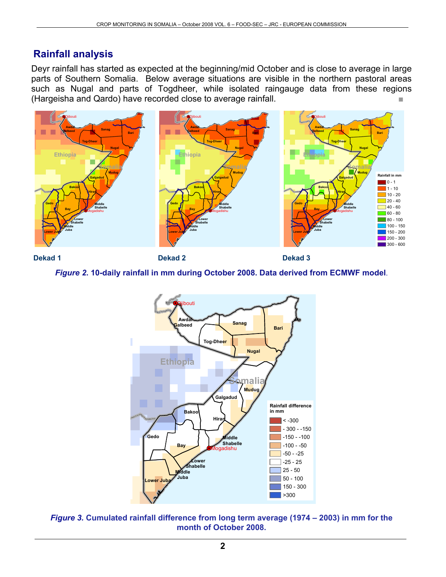### **Rainfall analysis**

Deyr rainfall has started as expected at the beginning/mid October and is close to average in large parts of Southern Somalia. Below average situations are visible in the northern pastoral areas such as Nugal and parts of Togdheer, while isolated raingauge data from these regions (Hargeisha and Qardo) have recorded close to average rainfall.



**Dekad 1 Dekad 2 Dekad 3** 

### *Figure 2***. 10-daily rainfall in mm during October 2008. Data derived from ECMWF model**.



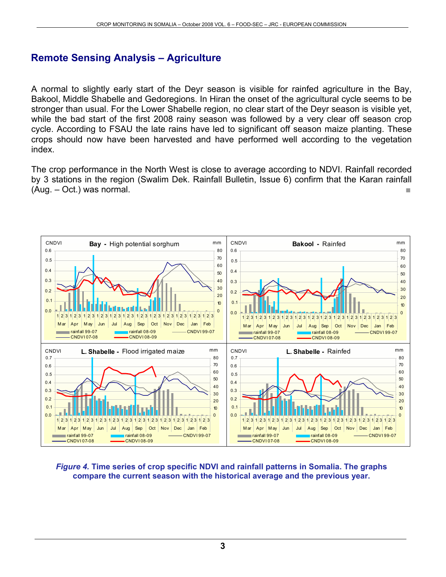### **Remote Sensing Analysis – Agriculture**

A normal to slightly early start of the Deyr season is visible for rainfed agriculture in the Bay, Bakool, Middle Shabelle and Gedoregions. In Hiran the onset of the agricultural cycle seems to be stronger than usual. For the Lower Shabelle region, no clear start of the Deyr season is visible yet, while the bad start of the first 2008 rainy season was followed by a very clear off season crop cycle. According to FSAU the late rains have led to significant off season maize planting. These crops should now have been harvested and have performed well according to the vegetation index.

The crop performance in the North West is close to average according to NDVI. Rainfall recorded by 3 stations in the region (Swalim Dek. Rainfall Bulletin, Issue 6) confirm that the Karan rainfall  $(Auq. - Oct.)$  was normal.



*Figure 4.* **Time series of crop specific NDVI and rainfall patterns in Somalia. The graphs compare the current season with the historical average and the previous year.**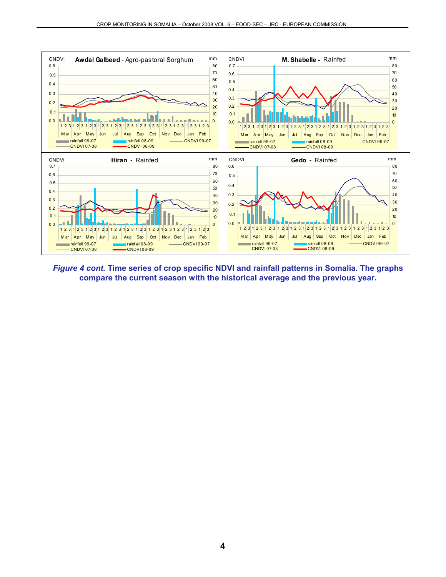

*Figure 4 cont.* **Time series of crop specific NDVI and rainfall patterns in Somalia. The graphs compare the current season with the historical average and the previous year.**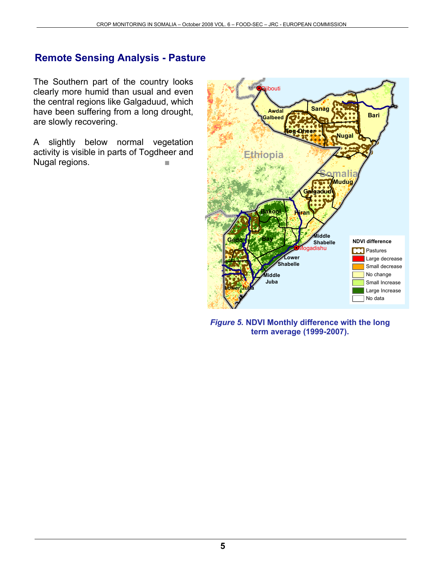## **Remote Sensing Analysis - Pasture**

The Southern part of the country looks clearly more humid than usual and even the central regions like Galgaduud, which have been suffering from a long drought, are slowly recovering.

A slightly below normal vegetation activity is visible in parts of Togdheer and Nugal regions.



*Figure 5.* **NDVI Monthly difference with the long term average (1999-2007).**